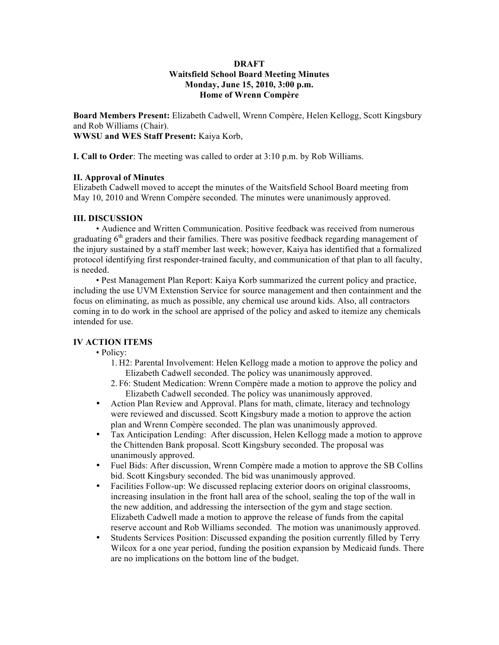## **DRAFT Waitsfield School Board Meeting Minutes Monday, June 15, 2010, 3:00 p.m. Home of Wrenn Compère**

**Board Members Present:** Elizabeth Cadwell, Wrenn Compère, Helen Kellogg, Scott Kingsbury and Rob Williams (Chair). **WWSU and WES Staff Present:** Kaiya Korb,

**I. Call to Order**: The meeting was called to order at 3:10 p.m. by Rob Williams.

### **II. Approval of Minutes**

Elizabeth Cadwell moved to accept the minutes of the Waitsfield School Board meeting from May 10, 2010 and Wrenn Compère seconded. The minutes were unanimously approved.

### **III. DISCUSSION**

• Audience and Written Communication. Positive feedback was received from numerous graduating  $6<sup>th</sup>$  graders and their families. There was positive feedback regarding management of the injury sustained by a staff member last week; however, Kaiya has identified that a formalized protocol identifying first responder-trained faculty, and communication of that plan to all faculty, is needed.

• Pest Management Plan Report: Kaiya Korb summarized the current policy and practice, including the use UVM Extenstion Service for source management and then containment and the focus on eliminating, as much as possible, any chemical use around kids. Also, all contractors coming in to do work in the school are apprised of the policy and asked to itemize any chemicals intended for use.

# **IV ACTION ITEMS**

# • Policy:

- 1. H2: Parental Involvement: Helen Kellogg made a motion to approve the policy and Elizabeth Cadwell seconded. The policy was unanimously approved.
- 2. F6: Student Medication: Wrenn Compère made a motion to approve the policy and Elizabeth Cadwell seconded. The policy was unanimously approved.
- Action Plan Review and Approval. Plans for math, climate, literacy and technology were reviewed and discussed. Scott Kingsbury made a motion to approve the action plan and Wrenn Compère seconded. The plan was unanimously approved.
- Tax Anticipation Lending: After discussion, Helen Kellogg made a motion to approve the Chittenden Bank proposal. Scott Kingsbury seconded. The proposal was unanimously approved.
- Fuel Bids: After discussion, Wrenn Compère made a motion to approve the SB Collins bid. Scott Kingsbury seconded. The bid was unanimously approved.
- Facilities Follow-up: We discussed replacing exterior doors on original classrooms, increasing insulation in the front hall area of the school, sealing the top of the wall in the new addition, and addressing the intersection of the gym and stage section. Elizabeth Cadwell made a motion to approve the release of funds from the capital reserve account and Rob Williams seconded. The motion was unanimously approved.
- Students Services Position: Discussed expanding the position currently filled by Terry Wilcox for a one year period, funding the position expansion by Medicaid funds. There are no implications on the bottom line of the budget.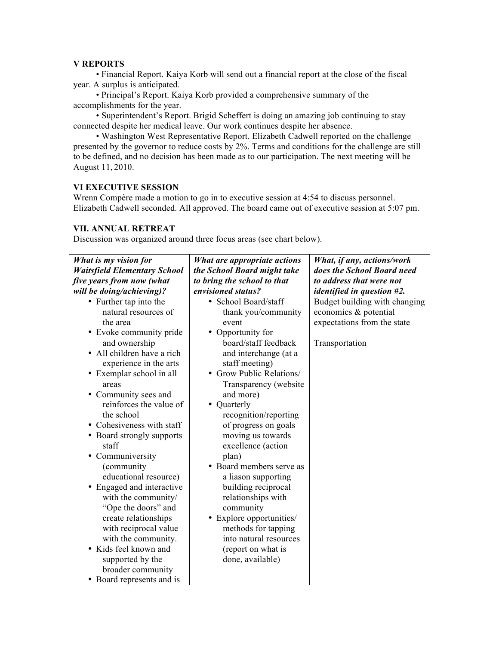### **V REPORTS**

• Financial Report. Kaiya Korb will send out a financial report at the close of the fiscal year. A surplus is anticipated.

• Principal's Report. Kaiya Korb provided a comprehensive summary of the accomplishments for the year.

• Superintendent's Report. Brigid Scheffert is doing an amazing job continuing to stay connected despite her medical leave. Our work continues despite her absence.

• Washington West Representative Report. Elizabeth Cadwell reported on the challenge presented by the governor to reduce costs by 2%. Terms and conditions for the challenge are still to be defined, and no decision has been made as to our participation. The next meeting will be August 11, 2010.

# **VI EXECUTIVE SESSION**

Wrenn Compère made a motion to go in to executive session at 4:54 to discuss personnel. Elizabeth Cadwell seconded. All approved. The board came out of executive session at 5:07 pm.

#### **VII. ANNUAL RETREAT**

Discussion was organized around three focus areas (see chart below).

| What is my vision for                                                                                                                                                                                                                                                                                                                                                                                                                                                                                                                                                                                                   | What are appropriate actions                                                                                                                                                                                                                                                                                                                                                                                                                                                                                                                                         | What, if any, actions/work                                                                              |
|-------------------------------------------------------------------------------------------------------------------------------------------------------------------------------------------------------------------------------------------------------------------------------------------------------------------------------------------------------------------------------------------------------------------------------------------------------------------------------------------------------------------------------------------------------------------------------------------------------------------------|----------------------------------------------------------------------------------------------------------------------------------------------------------------------------------------------------------------------------------------------------------------------------------------------------------------------------------------------------------------------------------------------------------------------------------------------------------------------------------------------------------------------------------------------------------------------|---------------------------------------------------------------------------------------------------------|
| <b>Waitsfield Elementary School</b>                                                                                                                                                                                                                                                                                                                                                                                                                                                                                                                                                                                     | the School Board might take                                                                                                                                                                                                                                                                                                                                                                                                                                                                                                                                          | does the School Board need                                                                              |
| five years from now (what                                                                                                                                                                                                                                                                                                                                                                                                                                                                                                                                                                                               | to bring the school to that                                                                                                                                                                                                                                                                                                                                                                                                                                                                                                                                          | to address that were not                                                                                |
| will be doing/achieving)?                                                                                                                                                                                                                                                                                                                                                                                                                                                                                                                                                                                               | envisioned status?                                                                                                                                                                                                                                                                                                                                                                                                                                                                                                                                                   | <i>identified in question #2.</i>                                                                       |
| • Further tap into the<br>natural resources of<br>the area<br>• Evoke community pride<br>and ownership<br>• All children have a rich<br>experience in the arts<br>• Exemplar school in all<br>areas<br>• Community sees and<br>reinforces the value of<br>the school<br>• Cohesiveness with staff<br>• Board strongly supports<br>staff<br>• Communiversity<br>(community<br>educational resource)<br>• Engaged and interactive<br>with the community/<br>"Ope the doors" and<br>create relationships<br>with reciprocal value<br>with the community.<br>• Kids feel known and<br>supported by the<br>broader community | • School Board/staff<br>thank you/community<br>event<br>• Opportunity for<br>board/staff feedback<br>and interchange (at a<br>staff meeting)<br>• Grow Public Relations/<br>Transparency (website<br>and more)<br>Quarterly<br>recognition/reporting<br>of progress on goals<br>moving us towards<br>excellence (action<br>plan)<br>• Board members serve as<br>a liason supporting<br>building reciprocal<br>relationships with<br>community<br>• Explore opportunities/<br>methods for tapping<br>into natural resources<br>(report on what is<br>done, available) | Budget building with changing<br>economics & potential<br>expectations from the state<br>Transportation |
| • Board represents and is                                                                                                                                                                                                                                                                                                                                                                                                                                                                                                                                                                                               |                                                                                                                                                                                                                                                                                                                                                                                                                                                                                                                                                                      |                                                                                                         |